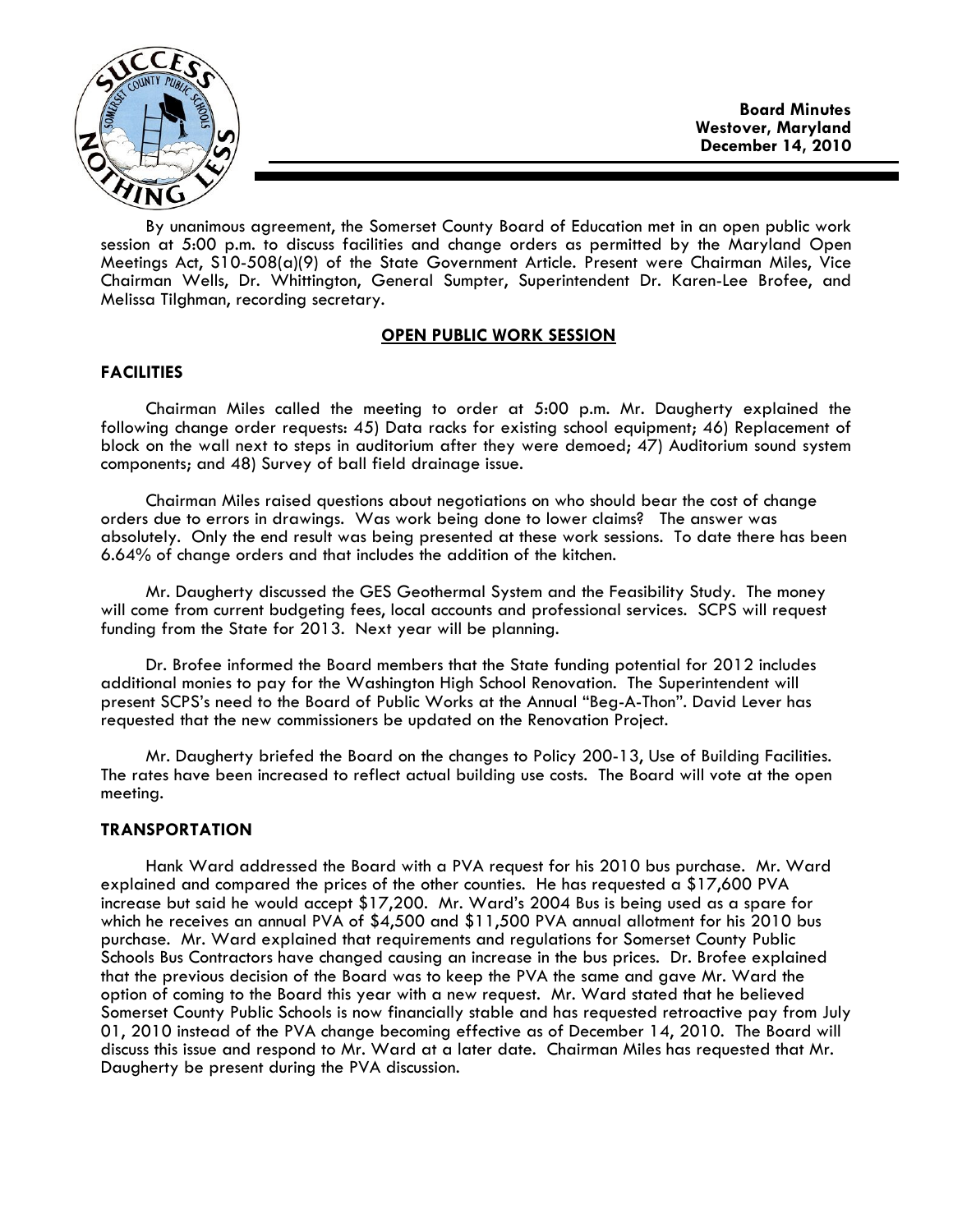

Board Minutes Westover, Maryland December 14, 2010

By unanimous agreement, the Somerset County Board of Education met in an open public work session at 5:00 p.m. to discuss facilities and change orders as permitted by the Maryland Open Meetings Act, S10-508(a)(9) of the State Government Article. Present were Chairman Miles, Vice Chairman Wells, Dr. Whittington, General Sumpter, Superintendent Dr. Karen-Lee Brofee, and Melissa Tilghman, recording secretary.

# OPEN PUBLIC WORK SESSION

## **FACILITIES**

 Chairman Miles called the meeting to order at 5:00 p.m. Mr. Daugherty explained the following change order requests: 45) Data racks for existing school equipment; 46) Replacement of block on the wall next to steps in auditorium after they were demoed; 47) Auditorium sound system components; and 48) Survey of ball field drainage issue.

Chairman Miles raised questions about negotiations on who should bear the cost of change orders due to errors in drawings. Was work being done to lower claims? The answer was absolutely. Only the end result was being presented at these work sessions. To date there has been 6.64% of change orders and that includes the addition of the kitchen.

 Mr. Daugherty discussed the GES Geothermal System and the Feasibility Study. The money will come from current budgeting fees, local accounts and professional services. SCPS will request funding from the State for 2013. Next year will be planning.

 Dr. Brofee informed the Board members that the State funding potential for 2012 includes additional monies to pay for the Washington High School Renovation. The Superintendent will present SCPS's need to the Board of Public Works at the Annual "Beg-A-Thon". David Lever has requested that the new commissioners be updated on the Renovation Project.

 Mr. Daugherty briefed the Board on the changes to Policy 200-13, Use of Building Facilities. The rates have been increased to reflect actual building use costs. The Board will vote at the open meeting.

### TRANSPORTATION

 Hank Ward addressed the Board with a PVA request for his 2010 bus purchase. Mr. Ward explained and compared the prices of the other counties. He has requested a \$17,600 PVA increase but said he would accept \$17,200. Mr. Ward's 2004 Bus is being used as a spare for which he receives an annual PVA of \$4,500 and \$11,500 PVA annual allotment for his 2010 bus purchase. Mr. Ward explained that requirements and regulations for Somerset County Public Schools Bus Contractors have changed causing an increase in the bus prices. Dr. Brofee explained that the previous decision of the Board was to keep the PVA the same and gave Mr. Ward the option of coming to the Board this year with a new request. Mr. Ward stated that he believed Somerset County Public Schools is now financially stable and has requested retroactive pay from July 01, 2010 instead of the PVA change becoming effective as of December 14, 2010. The Board will discuss this issue and respond to Mr. Ward at a later date. Chairman Miles has requested that Mr. Daugherty be present during the PVA discussion.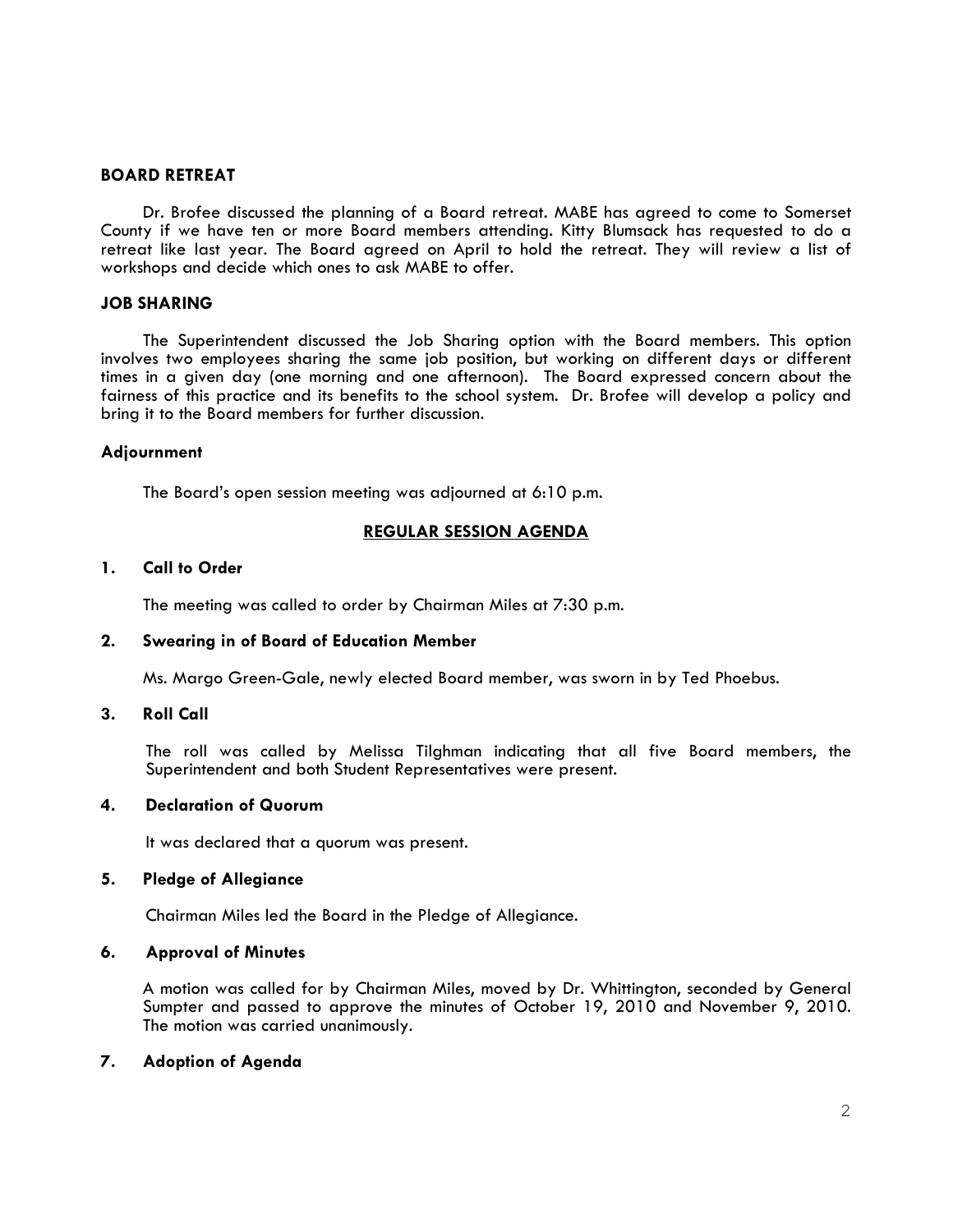## BOARD RETREAT

 Dr. Brofee discussed the planning of a Board retreat. MABE has agreed to come to Somerset County if we have ten or more Board members attending. Kitty Blumsack has requested to do a retreat like last year. The Board agreed on April to hold the retreat. They will review a list of workshops and decide which ones to ask MABE to offer.

## JOB SHARING

 The Superintendent discussed the Job Sharing option with the Board members. This option involves two employees sharing the same job position, but working on different days or different times in a given day (one morning and one afternoon). The Board expressed concern about the fairness of this practice and its benefits to the school system. Dr. Brofee will develop a policy and bring it to the Board members for further discussion.

### Adjournment

The Board's open session meeting was adjourned at 6:10 p.m.

# REGULAR SESSION AGENDA

## 1. Call to Order

The meeting was called to order by Chairman Miles at 7:30 p.m.

## 2. Swearing in of Board of Education Member

Ms. Margo Green-Gale, newly elected Board member, was sworn in by Ted Phoebus.

### 3. Roll Call

The roll was called by Melissa Tilghman indicating that all five Board members, the Superintendent and both Student Representatives were present.

# 4. Declaration of Quorum

It was declared that a quorum was present.

### 5. Pledge of Allegiance

Chairman Miles led the Board in the Pledge of Allegiance.

### 6. Approval of Minutes

A motion was called for by Chairman Miles, moved by Dr. Whittington, seconded by General Sumpter and passed to approve the minutes of October 19, 2010 and November 9, 2010. The motion was carried unanimously.

# 7. Adoption of Agenda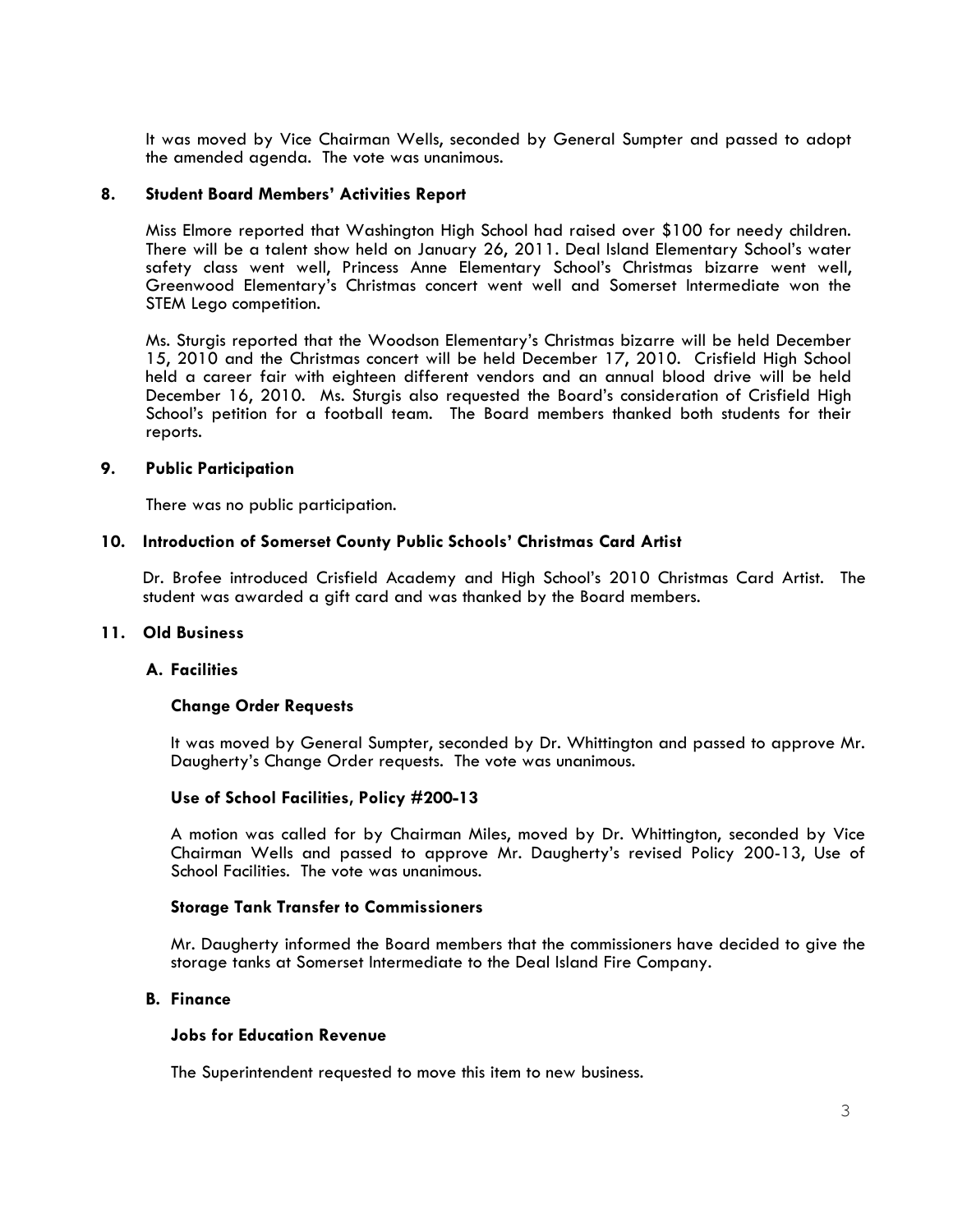It was moved by Vice Chairman Wells, seconded by General Sumpter and passed to adopt the amended agenda. The vote was unanimous.

### 8. Student Board Members' Activities Report

Miss Elmore reported that Washington High School had raised over \$100 for needy children. There will be a talent show held on January 26, 2011. Deal Island Elementary School's water safety class went well, Princess Anne Elementary School's Christmas bizarre went well, Greenwood Elementary's Christmas concert went well and Somerset Intermediate won the STEM Lego competition.

Ms. Sturgis reported that the Woodson Elementary's Christmas bizarre will be held December 15, 2010 and the Christmas concert will be held December 17, 2010. Crisfield High School held a career fair with eighteen different vendors and an annual blood drive will be held December 16, 2010. Ms. Sturgis also requested the Board's consideration of Crisfield High School's petition for a football team. The Board members thanked both students for their reports.

#### 9. Public Participation

There was no public participation.

### 10. Introduction of Somerset County Public Schools' Christmas Card Artist

Dr. Brofee introduced Crisfield Academy and High School's 2010 Christmas Card Artist. The student was awarded a gift card and was thanked by the Board members.

## 11. Old Business

### A. Facilities

### Change Order Requests

It was moved by General Sumpter, seconded by Dr. Whittington and passed to approve Mr. Daugherty's Change Order requests. The vote was unanimous.

### Use of School Facilities, Policy #200-13

A motion was called for by Chairman Miles, moved by Dr. Whittington, seconded by Vice Chairman Wells and passed to approve Mr. Daugherty's revised Policy 200-13, Use of School Facilities. The vote was unanimous.

### Storage Tank Transfer to Commissioners

Mr. Daugherty informed the Board members that the commissioners have decided to give the storage tanks at Somerset Intermediate to the Deal Island Fire Company.

### B. Finance

## Jobs for Education Revenue

The Superintendent requested to move this item to new business.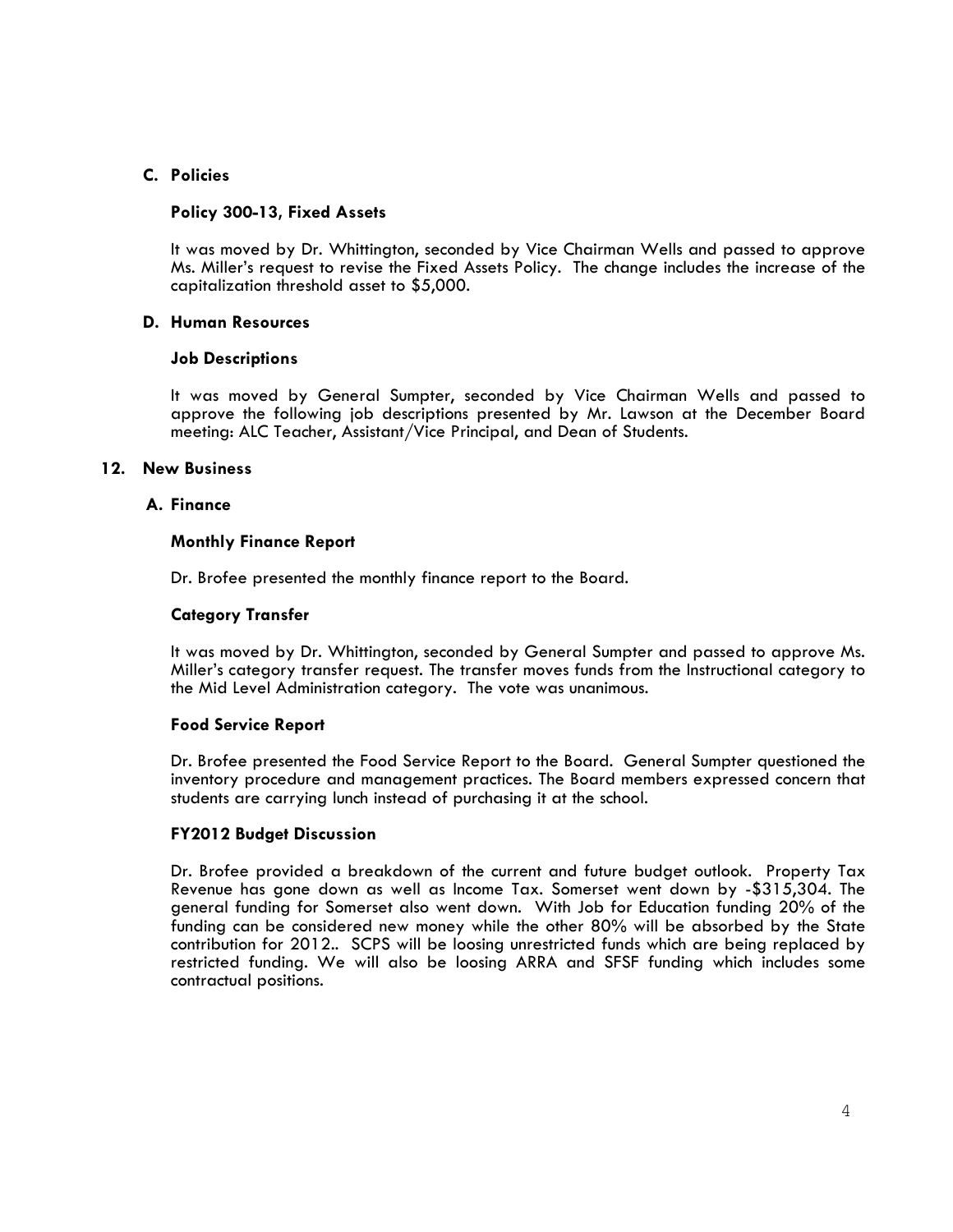# C. Policies

## Policy 300-13, Fixed Assets

It was moved by Dr. Whittington, seconded by Vice Chairman Wells and passed to approve Ms. Miller's request to revise the Fixed Assets Policy. The change includes the increase of the capitalization threshold asset to \$5,000.

## D. Human Resources

## Job Descriptions

It was moved by General Sumpter, seconded by Vice Chairman Wells and passed to approve the following job descriptions presented by Mr. Lawson at the December Board meeting: ALC Teacher, Assistant/Vice Principal, and Dean of Students.

## 12. New Business

## A. Finance

## Monthly Finance Report

Dr. Brofee presented the monthly finance report to the Board.

## Category Transfer

It was moved by Dr. Whittington, seconded by General Sumpter and passed to approve Ms. Miller's category transfer request. The transfer moves funds from the Instructional category to the Mid Level Administration category. The vote was unanimous.

## Food Service Report

Dr. Brofee presented the Food Service Report to the Board. General Sumpter questioned the inventory procedure and management practices. The Board members expressed concern that students are carrying lunch instead of purchasing it at the school.

# FY2012 Budget Discussion

Dr. Brofee provided a breakdown of the current and future budget outlook. Property Tax Revenue has gone down as well as Income Tax. Somerset went down by -\$315,304. The general funding for Somerset also went down. With Job for Education funding 20% of the funding can be considered new money while the other 80% will be absorbed by the State contribution for 2012.. SCPS will be loosing unrestricted funds which are being replaced by restricted funding. We will also be loosing ARRA and SFSF funding which includes some contractual positions.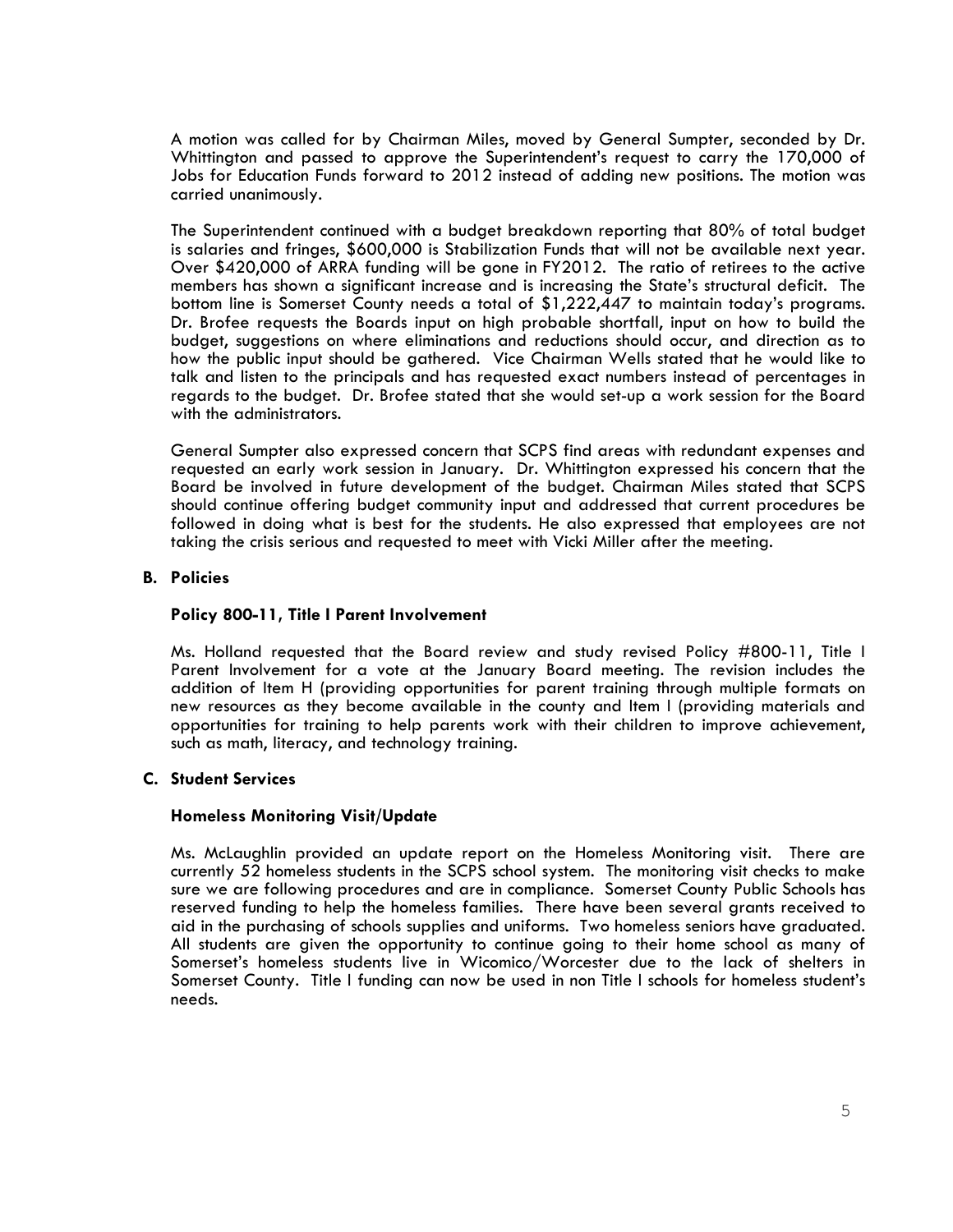A motion was called for by Chairman Miles, moved by General Sumpter, seconded by Dr. Whittington and passed to approve the Superintendent's request to carry the 170,000 of Jobs for Education Funds forward to 2012 instead of adding new positions. The motion was carried unanimously.

The Superintendent continued with a budget breakdown reporting that 80% of total budget is salaries and fringes, \$600,000 is Stabilization Funds that will not be available next year. Over \$420,000 of ARRA funding will be gone in FY2012. The ratio of retirees to the active members has shown a significant increase and is increasing the State's structural deficit. The bottom line is Somerset County needs a total of \$1,222,447 to maintain today's programs. Dr. Brofee requests the Boards input on high probable shortfall, input on how to build the budget, suggestions on where eliminations and reductions should occur, and direction as to how the public input should be gathered. Vice Chairman Wells stated that he would like to talk and listen to the principals and has requested exact numbers instead of percentages in regards to the budget. Dr. Brofee stated that she would set-up a work session for the Board with the administrators.

General Sumpter also expressed concern that SCPS find areas with redundant expenses and requested an early work session in January. Dr. Whittington expressed his concern that the Board be involved in future development of the budget. Chairman Miles stated that SCPS should continue offering budget community input and addressed that current procedures be followed in doing what is best for the students. He also expressed that employees are not taking the crisis serious and requested to meet with Vicki Miller after the meeting.

# B. Policies

## Policy 800-11, Title I Parent Involvement

Ms. Holland requested that the Board review and study revised Policy #800-11, Title I Parent Involvement for a vote at the January Board meeting. The revision includes the addition of Item H (providing opportunities for parent training through multiple formats on new resources as they become available in the county and Item I (providing materials and opportunities for training to help parents work with their children to improve achievement, such as math, literacy, and technology training.

# C. Student Services

### Homeless Monitoring Visit/Update

Ms. McLaughlin provided an update report on the Homeless Monitoring visit. There are currently 52 homeless students in the SCPS school system. The monitoring visit checks to make sure we are following procedures and are in compliance. Somerset County Public Schools has reserved funding to help the homeless families. There have been several grants received to aid in the purchasing of schools supplies and uniforms. Two homeless seniors have graduated. All students are given the opportunity to continue going to their home school as many of Somerset's homeless students live in Wicomico/Worcester due to the lack of shelters in Somerset County. Title I funding can now be used in non Title I schools for homeless student's needs.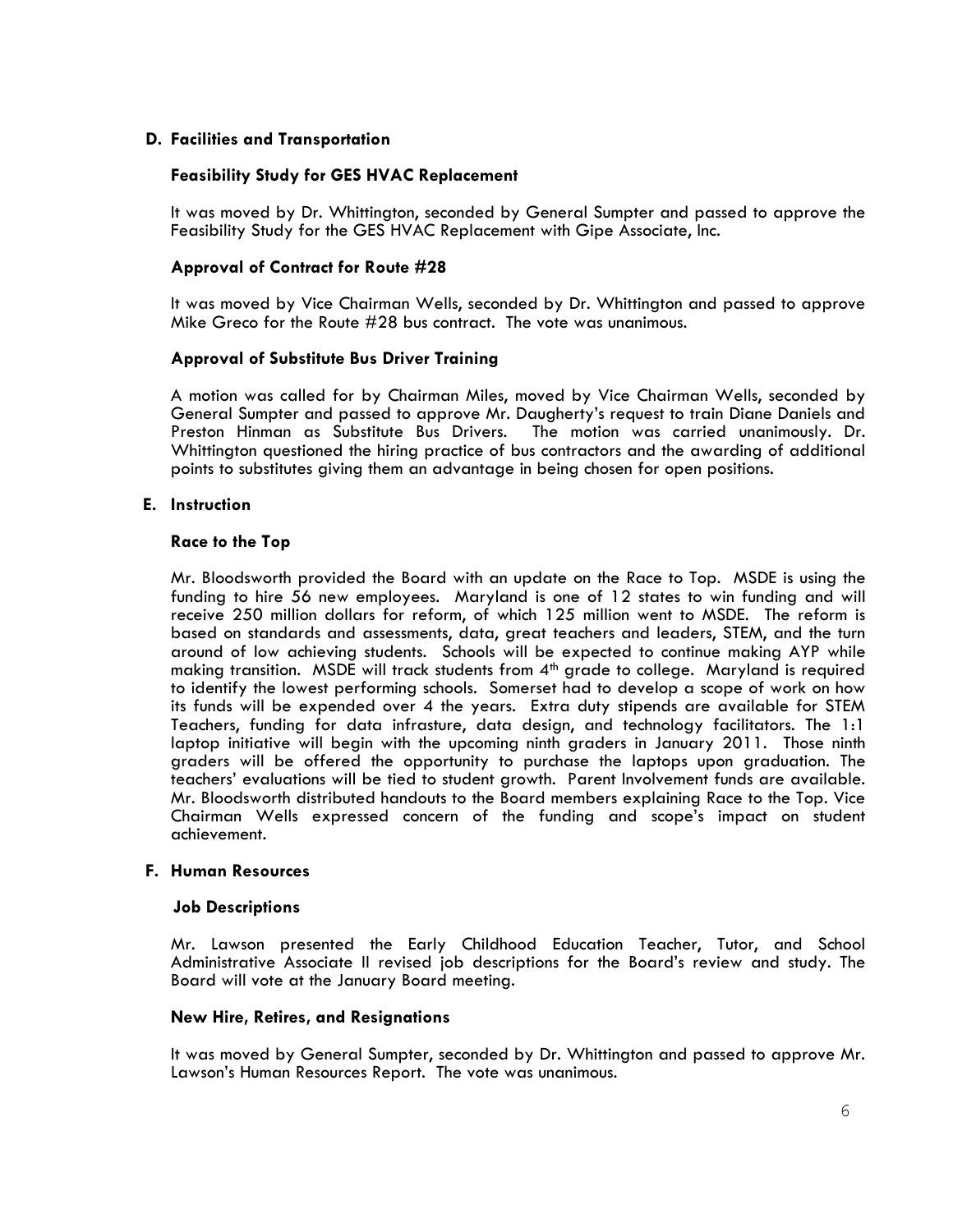# D. Facilities and Transportation

# Feasibility Study for GES HVAC Replacement

It was moved by Dr. Whittington, seconded by General Sumpter and passed to approve the Feasibility Study for the GES HVAC Replacement with Gipe Associate, Inc.

# Approval of Contract for Route #28

 It was moved by Vice Chairman Wells, seconded by Dr. Whittington and passed to approve Mike Greco for the Route #28 bus contract. The vote was unanimous.

# Approval of Substitute Bus Driver Training

A motion was called for by Chairman Miles, moved by Vice Chairman Wells, seconded by General Sumpter and passed to approve Mr. Daugherty's request to train Diane Daniels and Preston Hinman as Substitute Bus Drivers. The motion was carried unanimously. Dr. Whittington questioned the hiring practice of bus contractors and the awarding of additional points to substitutes giving them an advantage in being chosen for open positions.

# E. Instruction

### Race to the Top

Mr. Bloodsworth provided the Board with an update on the Race to Top. MSDE is using the funding to hire 56 new employees. Maryland is one of 12 states to win funding and will receive 250 million dollars for reform, of which 125 million went to MSDE. The reform is based on standards and assessments, data, great teachers and leaders, STEM, and the turn around of low achieving students. Schools will be expected to continue making AYP while making transition. MSDE will track students from 4<sup>th</sup> grade to college. Maryland is required to identify the lowest performing schools. Somerset had to develop a scope of work on how its funds will be expended over 4 the years. Extra duty stipends are available for STEM Teachers, funding for data infrasture, data design, and technology facilitators. The 1:1 laptop initiative will begin with the upcoming ninth graders in January 2011. Those ninth graders will be offered the opportunity to purchase the laptops upon graduation. The teachers' evaluations will be tied to student growth. Parent Involvement funds are available. Mr. Bloodsworth distributed handouts to the Board members explaining Race to the Top. Vice Chairman Wells expressed concern of the funding and scope's impact on student achievement.

# F. Human Resources

### Job Descriptions

Mr. Lawson presented the Early Childhood Education Teacher, Tutor, and School Administrative Associate II revised job descriptions for the Board's review and study. The Board will vote at the January Board meeting.

# New Hire, Retires, and Resignations

It was moved by General Sumpter, seconded by Dr. Whittington and passed to approve Mr. Lawson's Human Resources Report. The vote was unanimous.